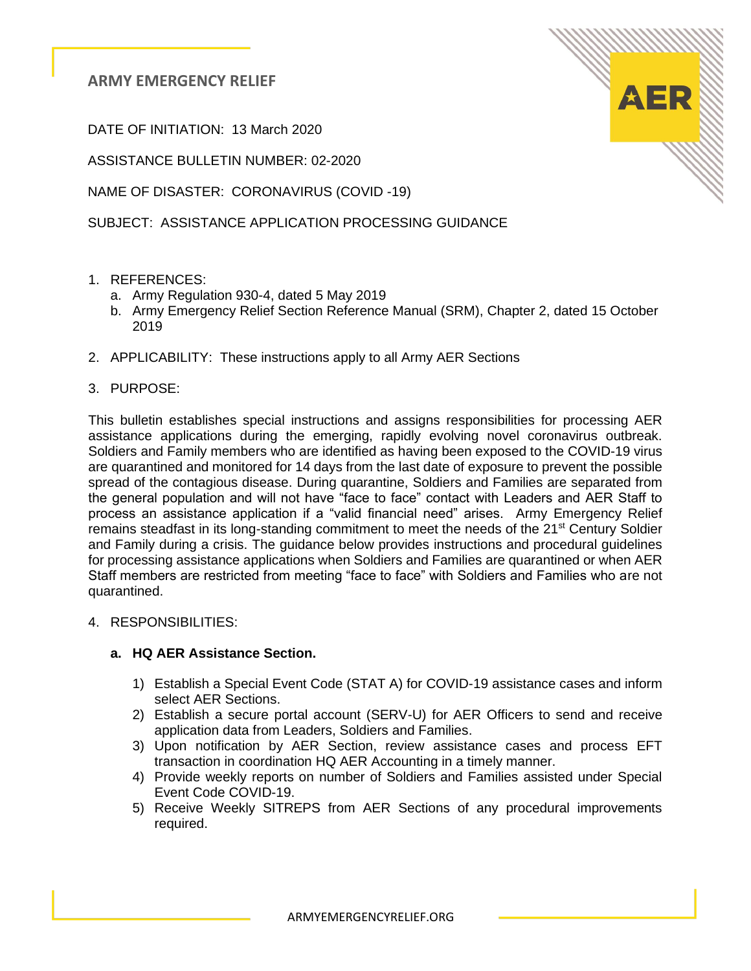**ARMY EMERGENCY RELIEF**

DATE OF INITIATION: 13 March 2020

ASSISTANCE BULLETIN NUMBER: 02-2020

NAME OF DISASTER: CORONAVIRUS (COVID -19)

SUBJECT: ASSISTANCE APPLICATION PROCESSING GUIDANCE

- 1. REFERENCES:
	- a. Army Regulation 930-4, dated 5 May 2019
	- b. Army Emergency Relief Section Reference Manual (SRM), Chapter 2, dated 15 October 2019
- 2. APPLICABILITY: These instructions apply to all Army AER Sections
- 3. PURPOSE:

This bulletin establishes special instructions and assigns responsibilities for processing AER assistance applications during the emerging, rapidly evolving novel coronavirus outbreak. Soldiers and Family members who are identified as having been exposed to the COVID-19 virus are quarantined and monitored for 14 days from the last date of exposure to prevent the possible spread of the contagious disease. During quarantine, Soldiers and Families are separated from the general population and will not have "face to face" contact with Leaders and AER Staff to process an assistance application if a "valid financial need" arises. Army Emergency Relief remains steadfast in its long-standing commitment to meet the needs of the 21<sup>st</sup> Century Soldier and Family during a crisis. The guidance below provides instructions and procedural guidelines for processing assistance applications when Soldiers and Families are quarantined or when AER Staff members are restricted from meeting "face to face" with Soldiers and Families who are not quarantined.

4. RESPONSIBILITIES:

#### **a. HQ AER Assistance Section.**

- 1) Establish a Special Event Code (STAT A) for COVID-19 assistance cases and inform select AER Sections.
- 2) Establish a secure portal account (SERV-U) for AER Officers to send and receive application data from Leaders, Soldiers and Families.
- 3) Upon notification by AER Section, review assistance cases and process EFT transaction in coordination HQ AER Accounting in a timely manner.
- 4) Provide weekly reports on number of Soldiers and Families assisted under Special Event Code COVID-19.
- 5) Receive Weekly SITREPS from AER Sections of any procedural improvements required.

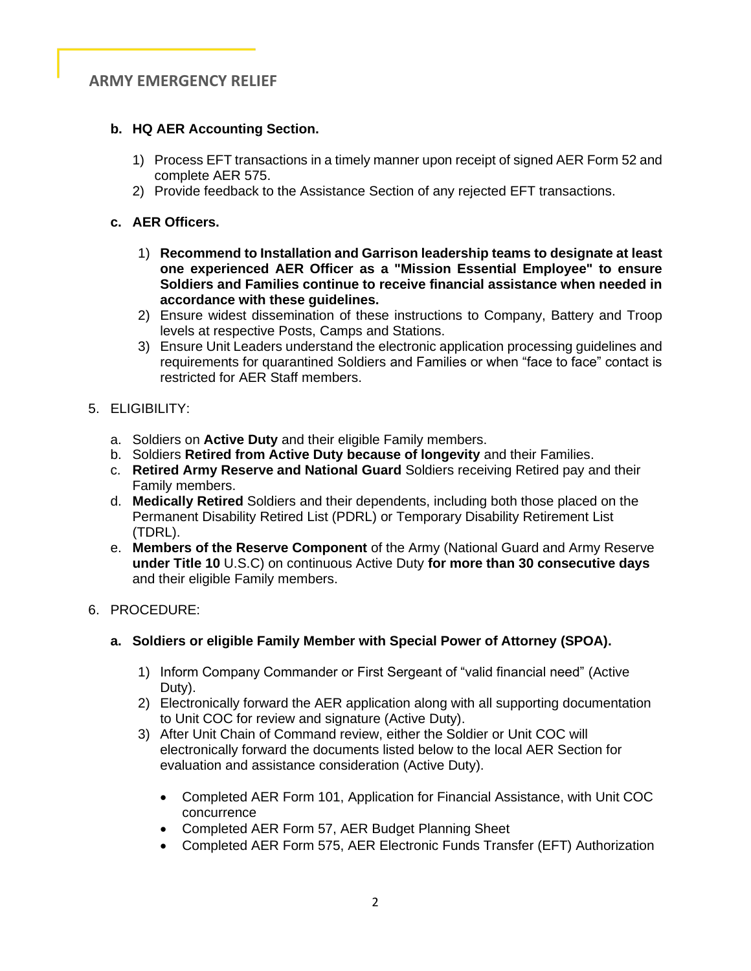# **ARMY EMERGENCY RELIEF**

### **b. HQ AER Accounting Section.**

- 1) Process EFT transactions in a timely manner upon receipt of signed AER Form 52 and complete AER 575.
- 2) Provide feedback to the Assistance Section of any rejected EFT transactions.

### **c. AER Officers.**

- 1) **Recommend to Installation and Garrison leadership teams to designate at least one experienced AER Officer as a "Mission Essential Employee" to ensure Soldiers and Families continue to receive financial assistance when needed in accordance with these guidelines.**
- 2) Ensure widest dissemination of these instructions to Company, Battery and Troop levels at respective Posts, Camps and Stations.
- 3) Ensure Unit Leaders understand the electronic application processing guidelines and requirements for quarantined Soldiers and Families or when "face to face" contact is restricted for AER Staff members.
- 5. ELIGIBILITY:
	- a. Soldiers on **Active Duty** and their eligible Family members.
	- b. Soldiers **Retired from Active Duty because of longevity** and their Families.
	- c. **Retired Army Reserve and National Guard** Soldiers receiving Retired pay and their Family members.
	- d. **Medically Retired** Soldiers and their dependents, including both those placed on the Permanent Disability Retired List (PDRL) or Temporary Disability Retirement List (TDRL).
	- e. **Members of the Reserve Component** of the Army (National Guard and Army Reserve **under Title 10** U.S.C) on continuous Active Duty **for more than 30 consecutive days** and their eligible Family members.

# 6. PROCEDURE:

#### **a. Soldiers or eligible Family Member with Special Power of Attorney (SPOA).**

- 1) Inform Company Commander or First Sergeant of "valid financial need" (Active Duty).
- 2) Electronically forward the AER application along with all supporting documentation to Unit COC for review and signature (Active Duty).
- 3) After Unit Chain of Command review, either the Soldier or Unit COC will electronically forward the documents listed below to the local AER Section for evaluation and assistance consideration (Active Duty).
	- Completed AER Form 101, Application for Financial Assistance, with Unit COC concurrence
	- Completed AER Form 57, AER Budget Planning Sheet
	- Completed AER Form 575, AER Electronic Funds Transfer (EFT) Authorization